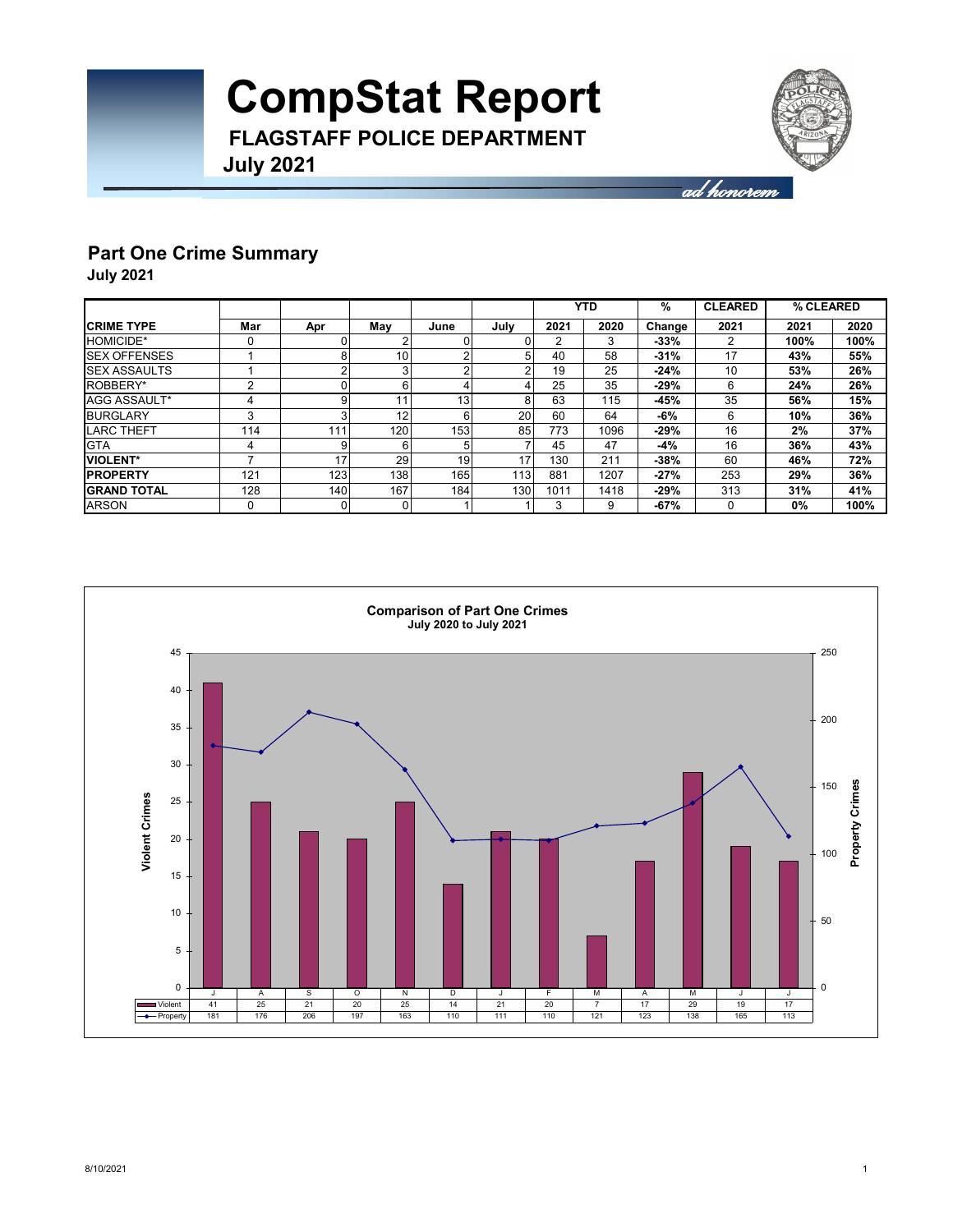

## **Part One Crime Summary**

**July 2021**

|                     |     |          |     |                 |                  |      | YTD  | %      | <b>CLEARED</b> | % CLEARED |      |
|---------------------|-----|----------|-----|-----------------|------------------|------|------|--------|----------------|-----------|------|
| <b>CRIME TYPE</b>   | Mar | Apr      | May | June            | July             | 2021 | 2020 | Change | 2021           | 2021      | 2020 |
| <b>HOMICIDE*</b>    | 0   | $\Omega$ |     |                 |                  | 2    | 3    | $-33%$ | 2              | 100%      | 100% |
| <b>SEX OFFENSES</b> |     | 8        | 10  | ີ               |                  | 40   | 58   | $-31%$ | 17             | 43%       | 55%  |
| <b>SEX ASSAULTS</b> |     | ◠        | 3   | r               |                  | 19   | 25   | $-24%$ | 10             | 53%       | 26%  |
| ROBBERY*            | 2   | $\Omega$ | 6   |                 |                  | 25   | 35   | $-29%$ | 6              | 24%       | 26%  |
| AGG ASSAULT*        | 4   | 9        |     | 13 <sub>1</sub> |                  | 63   | 115  | $-45%$ | 35             | 56%       | 15%  |
| <b>BURGLARY</b>     | 3   | 3        | 12  | Բ               | 20 <sub>1</sub>  | 60   | 64   | -6%    | 6              | 10%       | 36%  |
| <b>LARC THEFT</b>   | 114 | 111      | 120 | 153             | 85               | 773  | 1096 | $-29%$ | 16             | 2%        | 37%  |
| <b>GTA</b>          | 4   | 9        | 6   |                 |                  | 45   | 47   | -4%    | 16             | 36%       | 43%  |
| <b>VIOLENT*</b>     |     | 17       | 29  | 19              | 17               | 130  | 211  | $-38%$ | 60             | 46%       | 72%  |
| <b>IPROPERTY</b>    | 121 | 123      | 138 | 165             | 113              | 881  | 1207 | $-27%$ | 253            | 29%       | 36%  |
| <b>IGRAND TOTAL</b> | 128 | 140      | 167 | 184             | 130 <sub>1</sub> | 1011 | 1418 | $-29%$ | 313            | 31%       | 41%  |
| <b>ARSON</b>        | 0   | 0        | 0   |                 |                  | 3    | 9    | $-67%$ | 0              | 0%        | 100% |

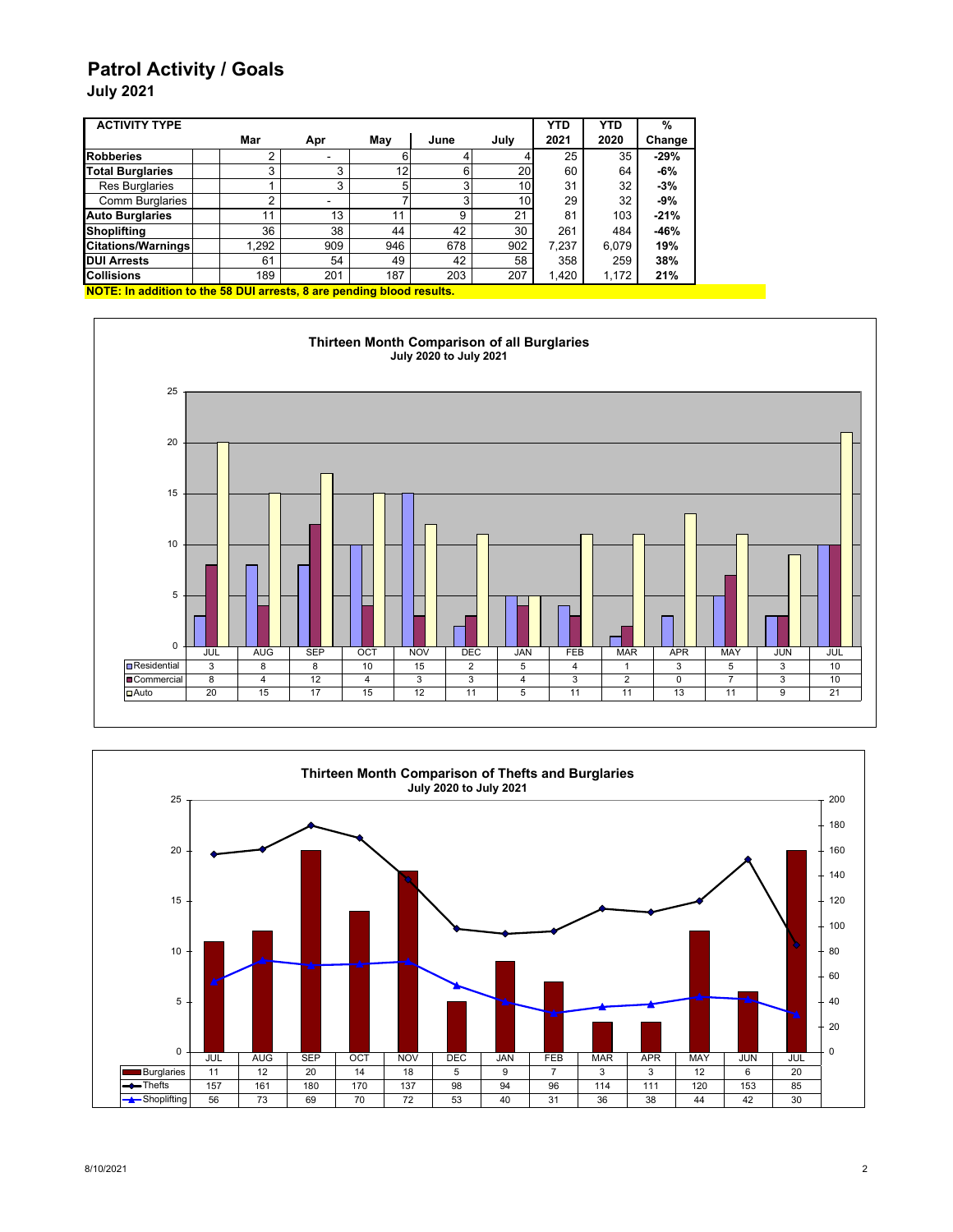### **Patrol Activity / Goals**

**July 2021**

| <b>ACTIVITY TYPE</b>      |      |     |                 |      |                 | <b>YTD</b> | <b>YTD</b> | %      |
|---------------------------|------|-----|-----------------|------|-----------------|------------|------------|--------|
|                           | Mar  | Apr | May             | June | July            | 2021       | 2020       | Change |
| <b>Robberies</b>          |      |     | 6               |      |                 | 25         | 35         | $-29%$ |
| <b>Total Burglaries</b>   | 3    | 3   | 12 <sub>1</sub> | 6    | 20              | 60         | 64         | $-6%$  |
| <b>Res Burglaries</b>     |      | 3   | 5               | ົ    | 10              | 31         | 32         | $-3%$  |
| Comm Burglaries           | ◠    |     |                 | ◠    | 10 <sub>l</sub> | 29         | 32         | $-9%$  |
| <b>Auto Burglaries</b>    | 11   | 13  | 11              | 9    | 21              | 81         | 103        | $-21%$ |
| <b>Shoplifting</b>        | 36   | 38  | 44              | 42   | 30              | 261        | 484        | $-46%$ |
| <b>Citations/Warnings</b> | .292 | 909 | 946             | 678  | 902             | 7,237      | 6,079      | 19%    |
| <b>DUI Arrests</b>        | 61   | 54  | 49              | 42   | 58              | 358        | 259        | 38%    |
| <b>Collisions</b>         | 189  | 201 | 187             | 203  | 207             | 1,420      | 1,172      | 21%    |

**NOTE: In addition to the 58 DUI arrests, 8 are pending blood results.**



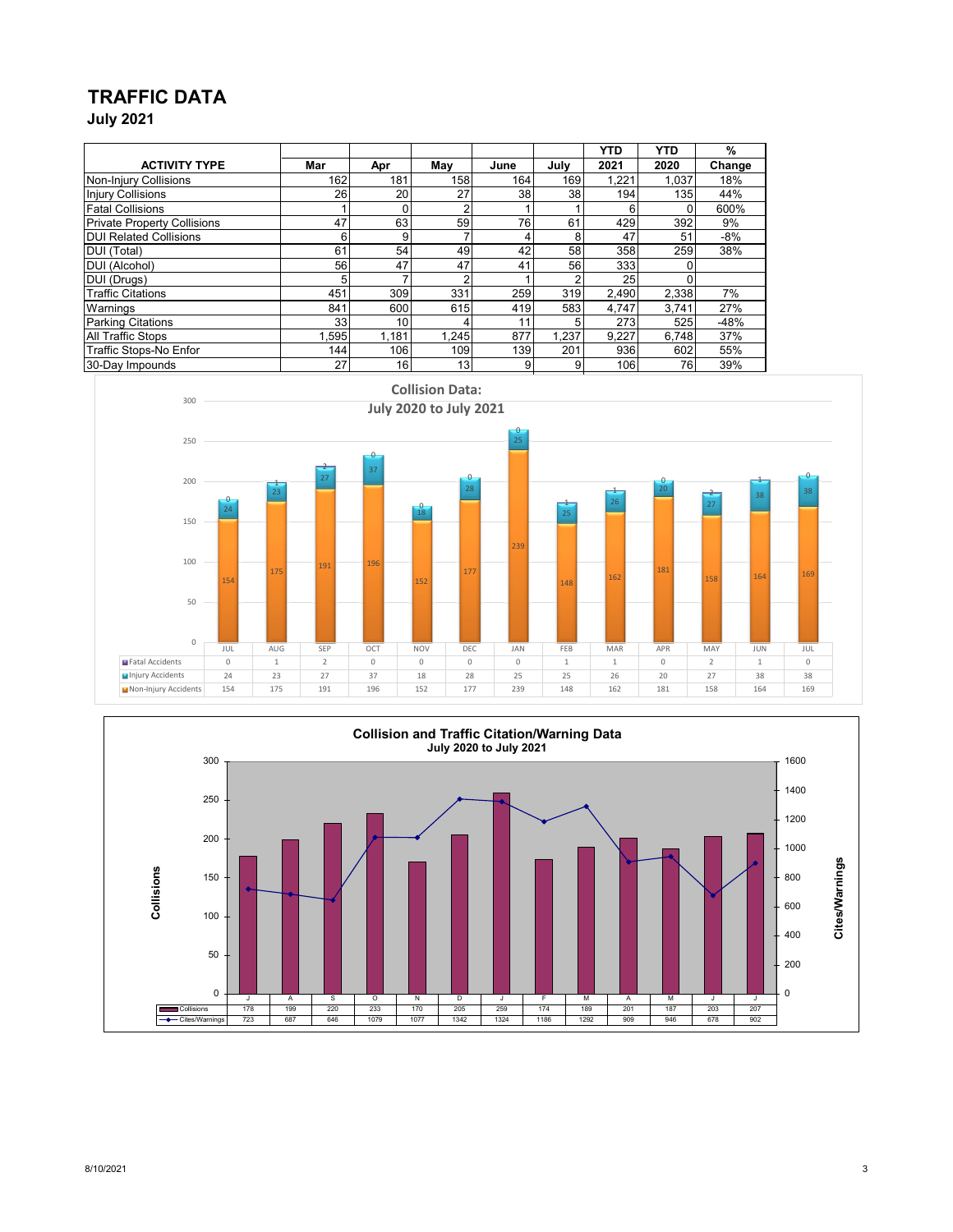# **TRAFFIC DATA**

**July 2021**

|                                    |      |       |            |                 |       | <b>YTD</b> | <b>YTD</b> | %      |
|------------------------------------|------|-------|------------|-----------------|-------|------------|------------|--------|
| <b>ACTIVITY TYPE</b>               | Mar  | Apr   | May        | June            | July  | 2021       | 2020       | Change |
| Non-Injury Collisions              | 162  | 181   | 158        | 164             | 169   | 1,221      | 1,037      | 18%    |
| <b>Injury Collisions</b>           | 26   | 20    | 27         | 38              | 38    | 194        | 135        | 44%    |
| <b>Fatal Collisions</b>            |      | ŋ     | $\sqrt{2}$ |                 |       |            | 0          | 600%   |
| <b>Private Property Collisions</b> | 47   | 63    | 59         | 76              | 61    | 429        | 392        | 9%     |
| <b>DUI Related Collisions</b>      | 6    | 9     |            | 4               | 8     | 47         | 51         | $-8%$  |
| DUI (Total)                        | 61   | 54    | 49         | 42              | 58    | 358        | 259        | 38%    |
| DUI (Alcohol)                      | 56   | 47    | 47         | 41              | 56    | 333        |            |        |
| DUI (Drugs)                        | 5    |       |            |                 |       | 25         |            |        |
| <b>Traffic Citations</b>           | 451  | 309   | 331        | 259             | 319   | 2.490      | 2,338      | 7%     |
| Warnings                           | 841  | 600   | 615        | 419             | 583   | 4.747      | 3.741      | 27%    |
| <b>Parking Citations</b>           | 33   | 10    |            | 11 <sub>1</sub> | 5     | 273        | 525        | $-48%$ |
| <b>All Traffic Stops</b>           | .595 | 1.181 | 1,245      | 877             | 1.237 | 9,227      | 6,748      | 37%    |
| Traffic Stops-No Enfor             | 144  | 106   | 109        | 139             | 201   | 936        | 602        | 55%    |
| 30-Day Impounds                    | 27   | 16    | 13         | 9               | 9     | 106        | 76         | 39%    |



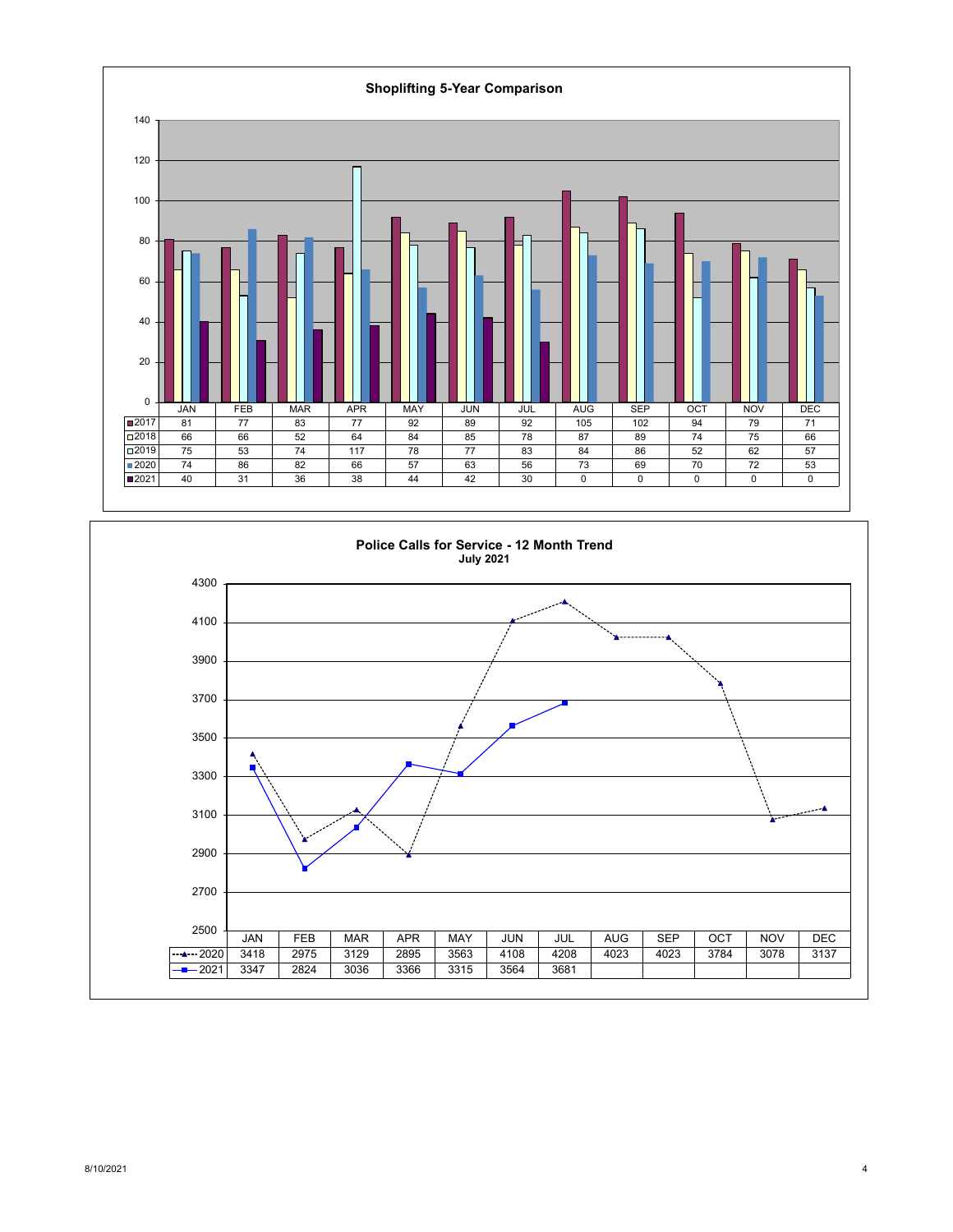

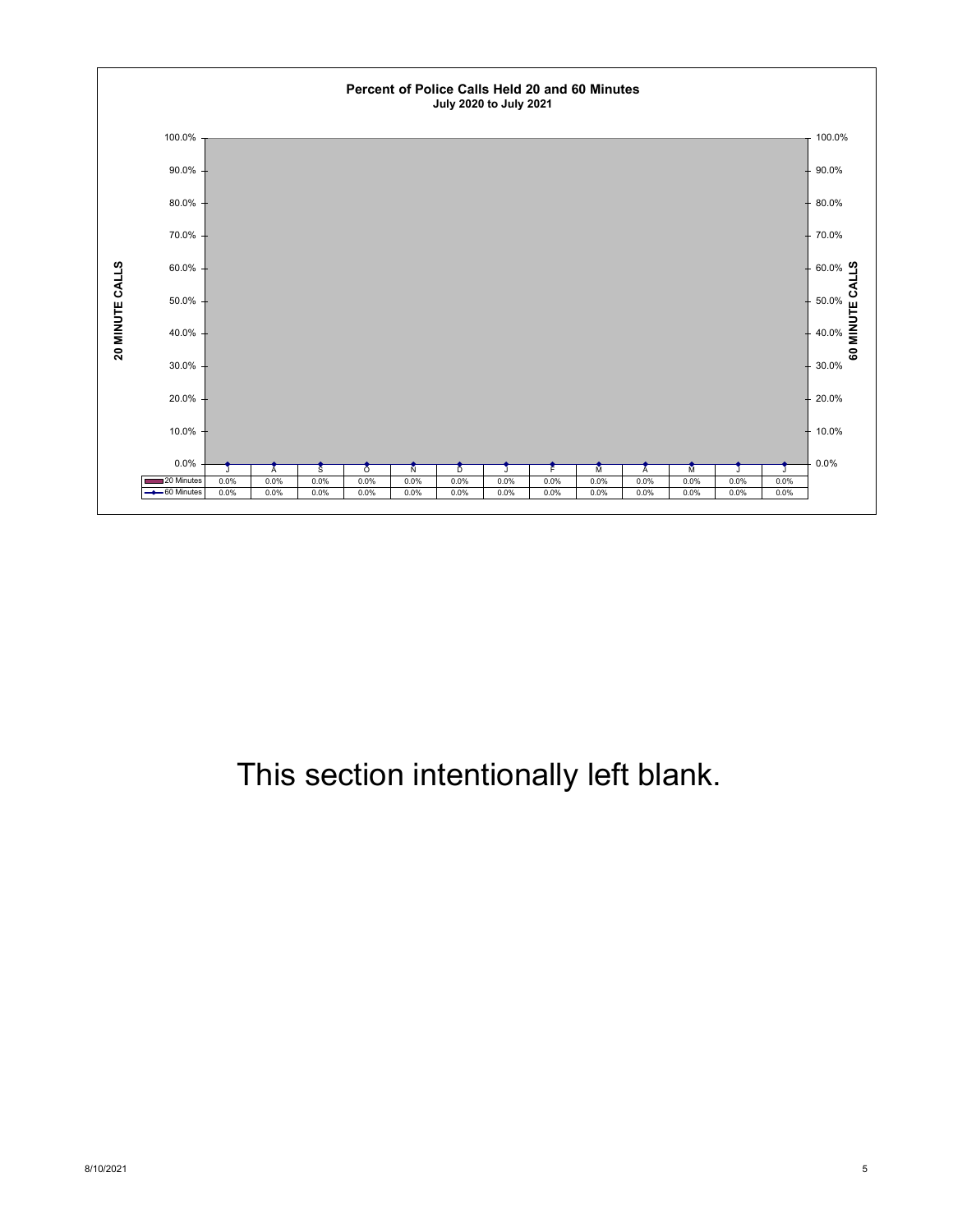

# This section intentionally left blank.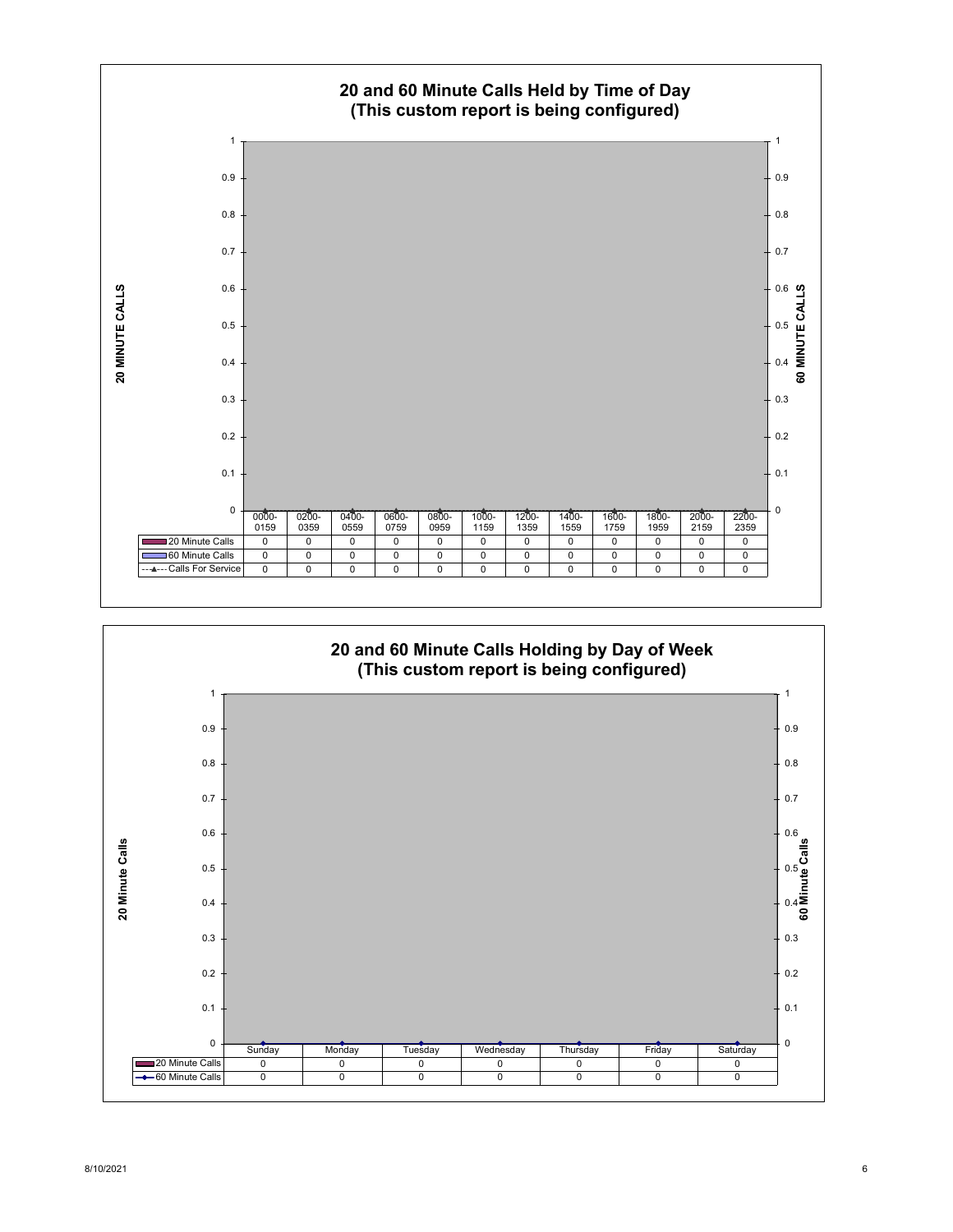

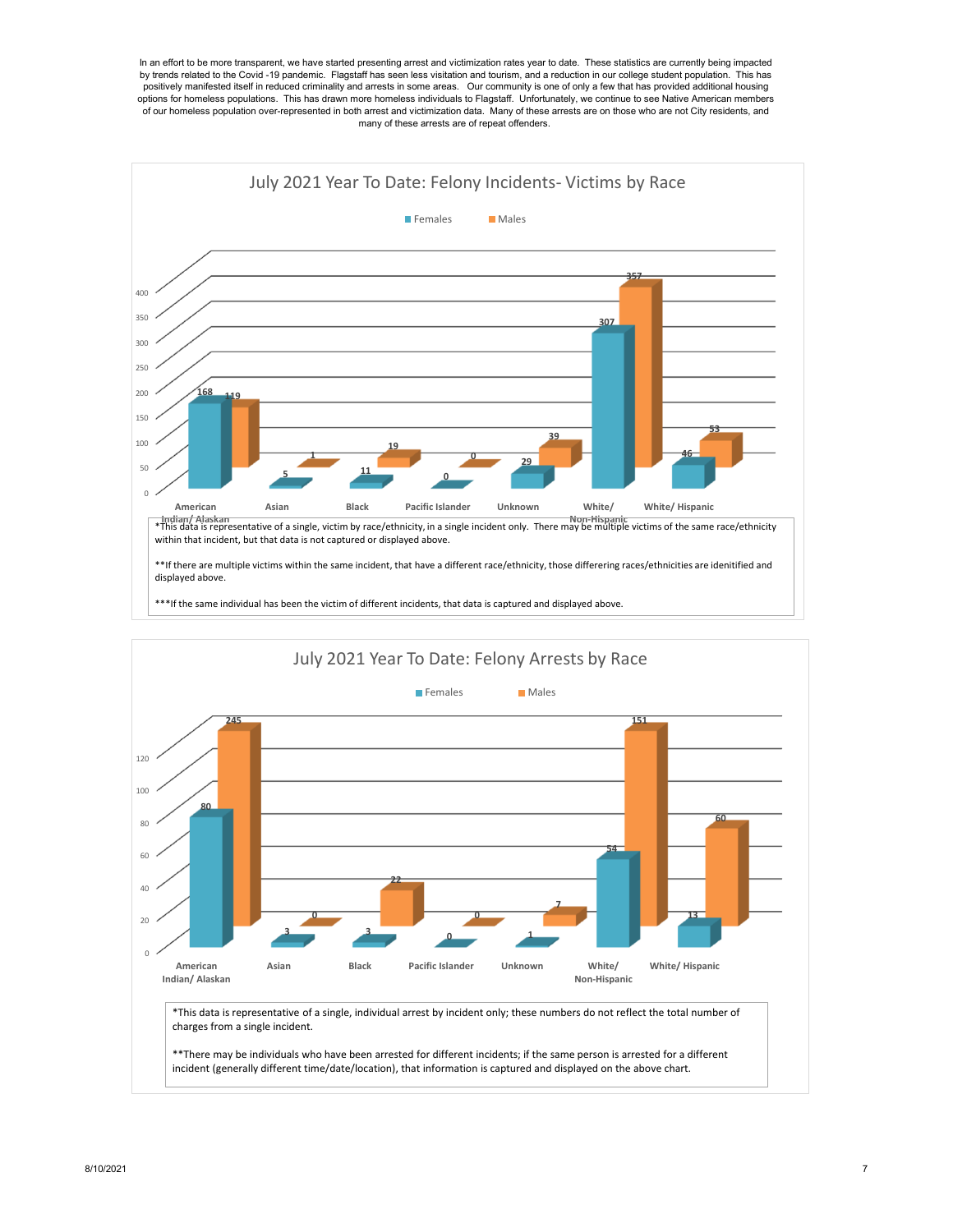



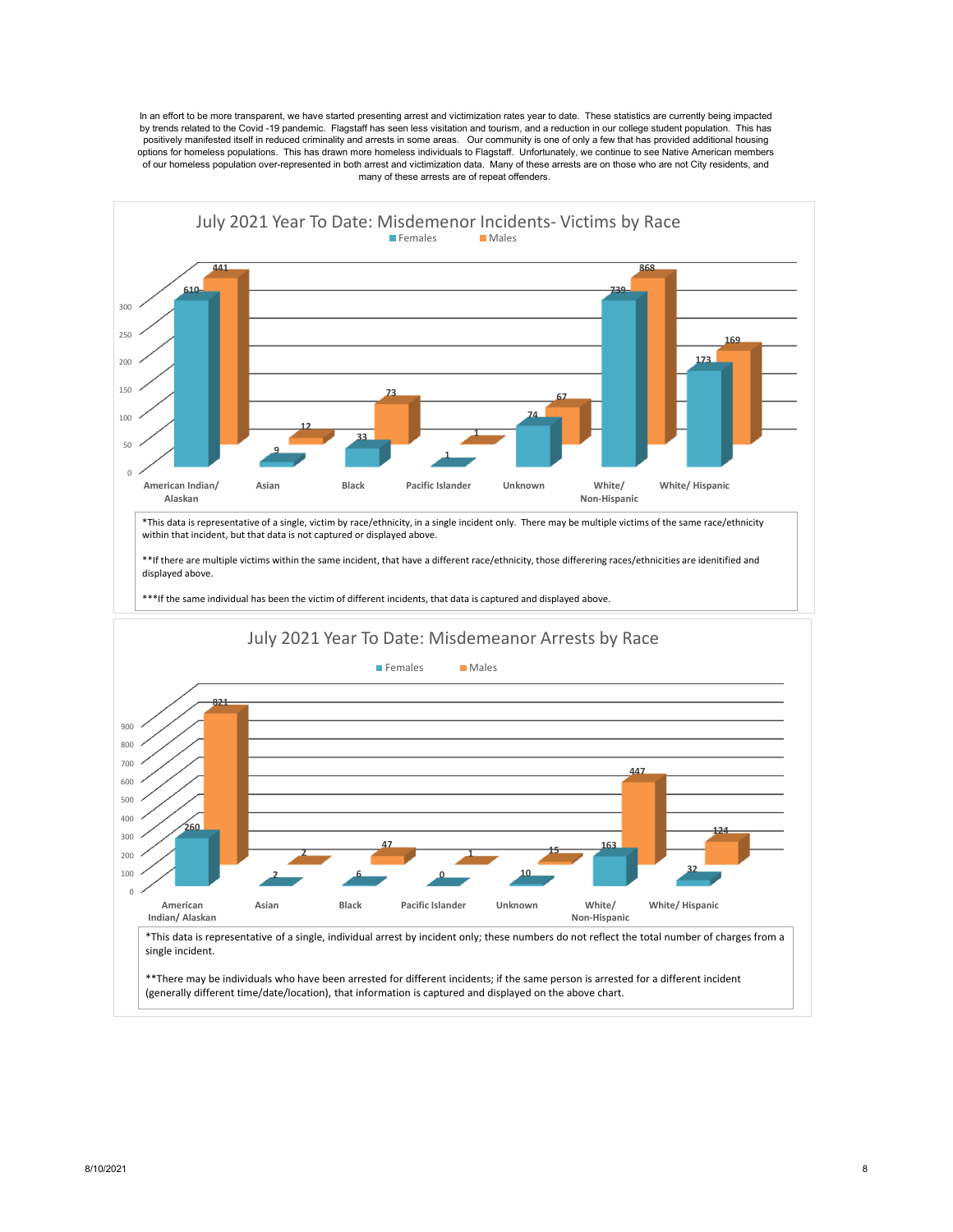In an effort to be more transparent, we have started presenting arrest and victimization rates year to date. These statistics are currently being impacted by trends related to the Covid -19 pandemic. Flagstaff has seen less visitation and tourism, and a reduction in our college student population. This has positively manifested itself in reduced criminality and arrests in some areas. Our community is one of only a few that has provided additional housing options for homeless populations. This has drawn more homeless individuals to Flagstaff. Unfortunately, we continue to see Native American members of our homeless population over-represented in both arrest and victimization data. Many of these arrests are on those who are not City residents, and many of these arrests are of repeat offenders.

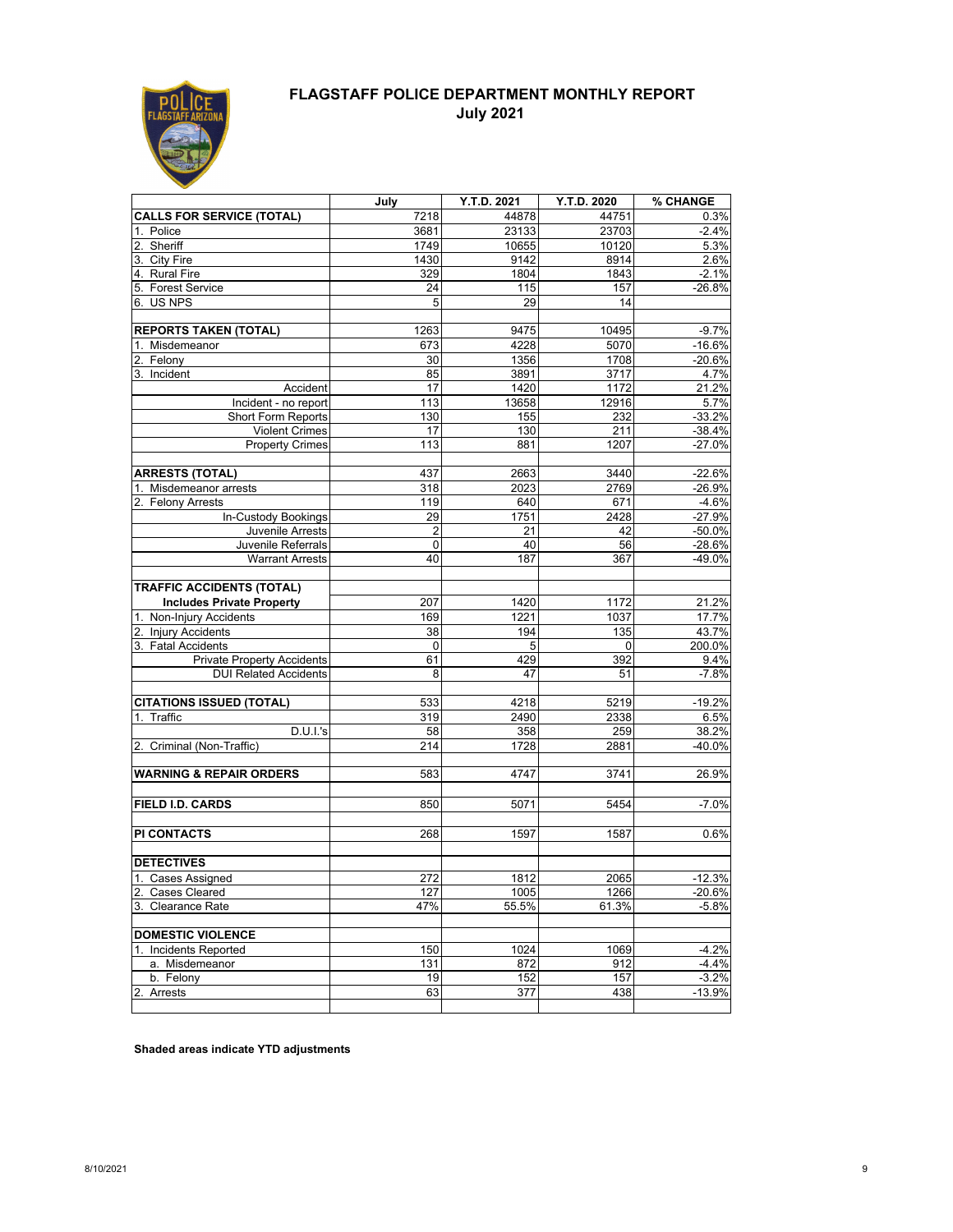

### **FLAGSTAFF POLICE DEPARTMENT MONTHLY REPORT July 2021**

|                                    | July           | Y.T.D. 2021 | Y.T.D. 2020 | % CHANGE |
|------------------------------------|----------------|-------------|-------------|----------|
| <b>CALLS FOR SERVICE (TOTAL)</b>   | 7218           | 44878       | 44751       | 0.3%     |
| 1. Police                          | 3681           | 23133       | 23703       | $-2.4%$  |
| 2. Sheriff                         | 1749           | 10655       | 10120       | 5.3%     |
| 3. City Fire                       | 1430           | 9142        | 8914        | 2.6%     |
| 4. Rural Fire                      | 329            | 1804        | 1843        | $-2.1%$  |
| 5. Forest Service                  | 24             | 115         | 157         | $-26.8%$ |
| 6. US NPS                          | 5              | 29          | 14          |          |
| <b>REPORTS TAKEN (TOTAL)</b>       | 1263           | 9475        | 10495       | $-9.7%$  |
| 1. Misdemeanor                     | 673            | 4228        | 5070        | $-16.6%$ |
| 2. Felony                          | 30             | 1356        | 1708        | $-20.6%$ |
| 3. Incident                        | 85             | 3891        | 3717        | 4.7%     |
| Accident                           | 17             | 1420        | 1172        | 21.2%    |
| Incident - no report               | 113            | 13658       | 12916       | 5.7%     |
| Short Form Reports                 | 130            | 155         | 232         | $-33.2%$ |
| <b>Violent Crimes</b>              | 17             | 130         | 211         | $-38.4%$ |
| <b>Property Crimes</b>             | 113            | 881         | 1207        | $-27.0%$ |
|                                    |                |             |             |          |
| <b>ARRESTS (TOTAL)</b>             | 437            | 2663        | 3440        | $-22.6%$ |
| 1. Misdemeanor arrests             | 318            | 2023        | 2769        | $-26.9%$ |
| 2. Felony Arrests                  | 119            | 640         | 671         | $-4.6%$  |
| In-Custody Bookings                | 29             | 1751        | 2428        | $-27.9%$ |
| Juvenile Arrests                   | $\overline{2}$ | 21          | 42          | $-50.0%$ |
| Juvenile Referrals                 | 0              | 40          | 56          | $-28.6%$ |
| <b>Warrant Arrests</b>             | 40             | 187         | 367         | -49.0%   |
| <b>TRAFFIC ACCIDENTS (TOTAL)</b>   |                |             |             |          |
| <b>Includes Private Property</b>   | 207            | 1420        | 1172        | 21.2%    |
| 1. Non-Injury Accidents            | 169            | 1221        | 1037        | 17.7%    |
| 2. Injury Accidents                | 38             | 194         | 135         | 43.7%    |
| 3. Fatal Accidents                 | 0              | 5           | 0           | 200.0%   |
| <b>Private Property Accidents</b>  | 61             | 429         | 392         | 9.4%     |
| <b>DUI Related Accidents</b>       | 8              | 47          | 51          | $-7.8%$  |
|                                    |                |             |             |          |
| <b>CITATIONS ISSUED (TOTAL)</b>    | 533            | 4218        | 5219        | $-19.2%$ |
| 1. Traffic                         | 319            | 2490        | 2338        | 6.5%     |
| D.U.I.'s                           | 58             | 358         | 259         | 38.2%    |
| 2. Criminal (Non-Traffic)          | 214            | 1728        | 2881        | $-40.0%$ |
|                                    |                |             |             |          |
| <b>WARNING &amp; REPAIR ORDERS</b> | 583            | 4747        | 3741        | 26.9%    |
|                                    |                |             |             |          |
| <b>FIELD I.D. CARDS</b>            | 850            | 5071        | 5454        | $-7.0%$  |
|                                    |                |             |             |          |
| <b>PI CONTACTS</b>                 | 268            | 1597        | 1587        | 0.6%     |
| <b>DETECTIVES</b>                  |                |             |             |          |
| 1. Cases Assigned                  | 272            | 1812        | 2065        | $-12.3%$ |
| 2. Cases Cleared                   | 127            | 1005        | 1266        | -20.6%   |
| 3. Clearance Rate                  | 47%            | 55.5%       | 61.3%       | $-5.8%$  |
|                                    |                |             |             |          |
| <b>DOMESTIC VIOLENCE</b>           |                |             |             |          |
| 1. Incidents Reported              | 150            | 1024        | 1069        | $-4.2%$  |
| a. Misdemeanor                     | 131            | 872         | 912         | $-4.4%$  |
| b. Felony                          | 19             | 152         | 157         | $-3.2%$  |
| 2. Arrests                         | 63             | 377         | 438         | $-13.9%$ |
|                                    |                |             |             |          |

**Shaded areas indicate YTD adjustments**